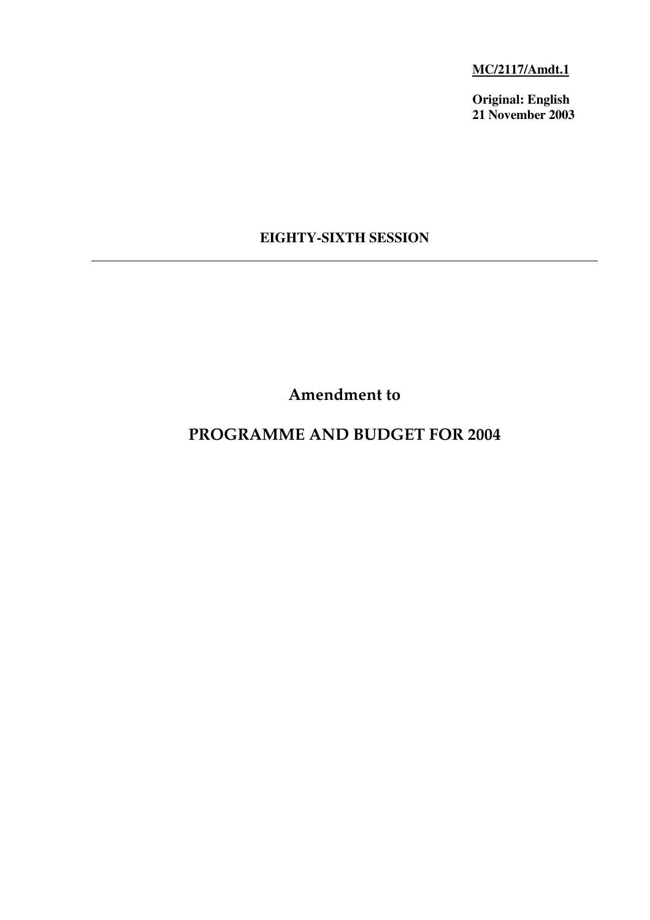**MC/2117/Amdt.1**

**Original: English 21 November 2003**

# **EIGHTY-SIXTH SESSION**

**Amendment to**

# **PROGRAMME AND BUDGET FOR 2004**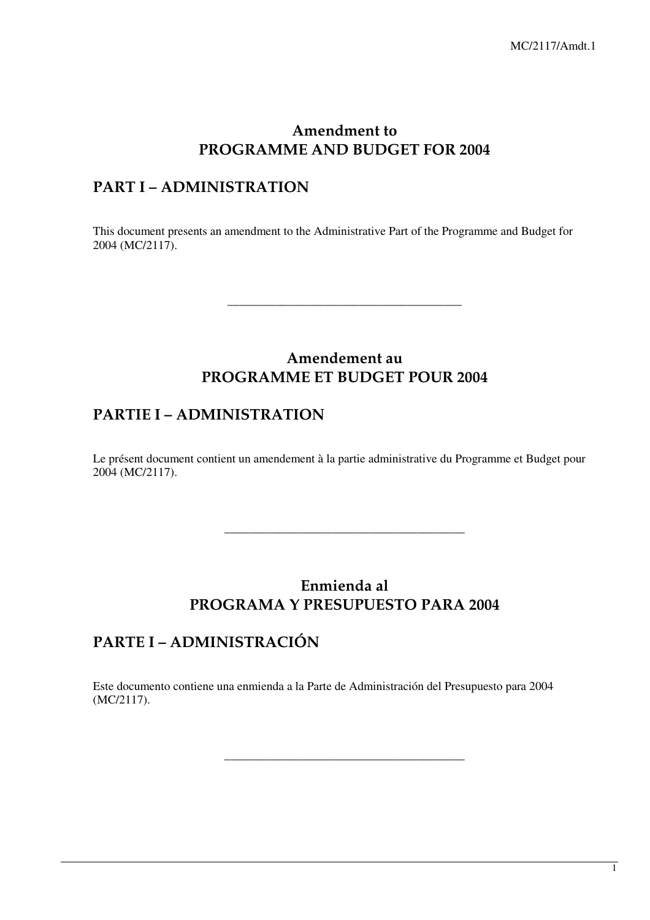### **Amendment to PROGRAMME AND BUDGET FOR 2004**

## **PART I – ADMINISTRATION**

This document presents an amendment to the Administrative Part of the Programme and Budget for 2004 (MC/2117).

# **Amendement au PROGRAMME ET BUDGET POUR 2004**

\_\_\_\_\_\_\_\_\_\_\_\_\_\_\_\_\_\_\_\_\_\_\_\_\_\_\_\_\_\_\_\_\_\_\_\_\_\_\_

## **PARTIE I – ADMINISTRATION**

Le présent document contient un amendement à la partie administrative du Programme et Budget pour 2004 (MC/2117).

## **Enmienda al PROGRAMA Y PRESUPUESTO PARA 2004**

\_\_\_\_\_\_\_\_\_\_\_\_\_\_\_\_\_\_\_\_\_\_\_\_\_\_\_\_\_\_\_\_\_\_\_\_\_\_\_\_

\_\_\_\_\_\_\_\_\_\_\_\_\_\_\_\_\_\_\_\_\_\_\_\_\_\_\_\_\_\_\_\_\_\_\_\_\_\_\_\_

# **PARTE I –ADMINISTRACIÓN**

Este documento contiene una enmienda a la Parte de Administración del Presupuesto para 2004 (MC/2117).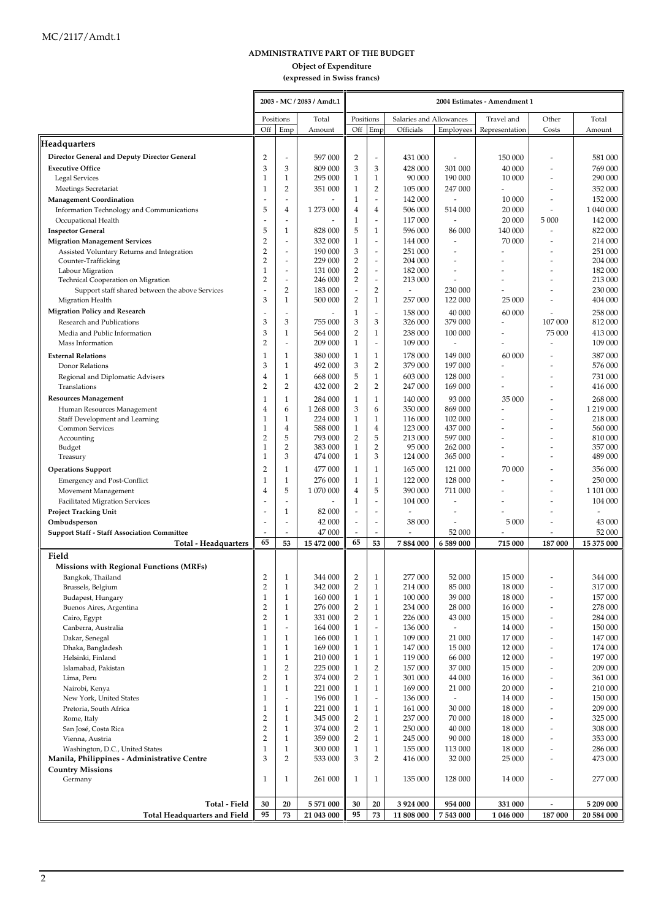### **ADMINISTRATIVE PART OF THE BUDGET**

### **Object of Expenditure**

**(expressed in Swiss francs)**

|                                                                   |                                |                               | 2003 - MC / 2083 / Amdt.1 | 2004 Estimates - Amendment 1   |                              |                                      |                               |                              |                                  |                      |
|-------------------------------------------------------------------|--------------------------------|-------------------------------|---------------------------|--------------------------------|------------------------------|--------------------------------------|-------------------------------|------------------------------|----------------------------------|----------------------|
|                                                                   | Positions<br>Off               | Emp                           | Total                     | Positions<br>Off               | Emp                          | Salaries and Allowances<br>Officials |                               | Travel and<br>Representation | Other<br>Costs                   | Total                |
| Headquarters                                                      |                                |                               | Amount                    |                                |                              |                                      | Employees                     |                              |                                  | Amount               |
| Director General and Deputy Director General                      | 2                              | $\overline{a}$                | 597 000                   | 2                              | $\overline{\phantom{a}}$     | 431 000                              |                               | 150 000                      |                                  | 581 000              |
| <b>Executive Office</b>                                           | 3                              | 3                             | 809 000                   | 3                              | 3                            | 428 000                              | 301 000                       | 40 000                       |                                  | 769 000              |
| Legal Services                                                    | 1                              | $\mathbf{1}$                  | 295 000                   | $\mathbf{1}$                   | 1                            | 90 000                               | 190 000                       | 10 000                       | ٠                                | 290 000              |
| Meetings Secretariat                                              | 1                              | 2                             | 351 000                   | 1                              | $\overline{2}$               | 105 000                              | 247 000                       |                              |                                  | 352 000              |
| <b>Management Coordination</b>                                    |                                |                               |                           | $\mathbf{1}$                   |                              | 142 000                              |                               | 10 000                       |                                  | 152 000              |
| Information Technology and Communications                         | 5                              | 4                             | 1 273 000                 | 4                              | 4                            | 506 000                              | 514 000                       | 20 000                       | L,                               | 1 040 000            |
| Occupational Health                                               |                                | ÷.                            |                           | $\mathbf{1}$                   | $\overline{\phantom{a}}$     | 117 000                              | ÷,                            | 20 000                       | 5 000                            | 142 000              |
| <b>Inspector General</b>                                          | 5                              | 1                             | 828 000                   | 5                              | 1                            | 596 000                              | 86 000                        | 140 000                      | L,                               | 822 000              |
| <b>Migration Management Services</b>                              | 2<br>2                         | ٠<br>$\overline{\phantom{a}}$ | 332 000<br>190 000        | $\mathbf{1}$<br>3              | $\overline{\phantom{a}}$     | 144 000<br>251 000                   | $\overline{\phantom{a}}$<br>٠ | 70 000                       |                                  | 214 000<br>251 000   |
| Assisted Voluntary Returns and Integration<br>Counter-Trafficking | $\overline{2}$                 | $\overline{\phantom{a}}$      | 229 000                   | $\overline{2}$                 | $\overline{\phantom{a}}$     | 204 000                              |                               |                              |                                  | 204 000              |
| Labour Migration                                                  | 1                              | $\overline{a}$                | 131 000                   | $\overline{2}$                 | $\overline{\phantom{m}}$     | 182 000                              |                               |                              |                                  | 182 000              |
| Technical Cooperation on Migration                                | $\overline{2}$                 | $\overline{a}$                | 246 000                   | $\overline{2}$                 | $\overline{\phantom{a}}$     | 213 000                              | $\overline{\phantom{a}}$      |                              |                                  | 213 000              |
| Support staff shared between the above Services                   |                                | $\overline{2}$                | 183 000                   | $\overline{\phantom{a}}$       | 2                            | $\overline{a}$                       | 230 000                       |                              |                                  | 230 000              |
| Migration Health                                                  | 3                              | $\mathbf{1}$                  | 500 000                   | $\overline{2}$                 | 1                            | 257 000                              | 122 000                       | 25 000                       |                                  | 404 000              |
| <b>Migration Policy and Research</b>                              |                                |                               |                           | $\mathbf{1}$                   |                              | 158 000                              | 40 000                        | 60 000                       |                                  | 258 000              |
| Research and Publications                                         | 3                              | 3                             | 755 000                   | 3                              | 3                            | 326 000                              | 379 000                       |                              | 107 000                          | 812 000              |
| Media and Public Information                                      | 3                              | $\mathbf 1$                   | 564 000<br>209 000        | $\overline{2}$                 | 1                            | 238 000                              | 100 000                       |                              | 75 000                           | 413 000              |
| Mass Information                                                  | 2                              | $\overline{a}$                |                           | $\mathbf{1}$                   | $\overline{\phantom{a}}$     | 109 000                              | $\overline{a}$                |                              | Ĭ.                               | 109 000              |
| <b>External Relations</b>                                         | 1                              | 1                             | 380 000<br>492 000        | $\mathbf{1}$                   | 1                            | 178 000                              | 149 000                       | 60 000                       |                                  | 387 000              |
| Donor Relations                                                   | 3                              | $\mathbf{1}$<br>$\mathbf{1}$  | 668 000                   | 3<br>5                         | $\overline{2}$               | 379 000<br>603 000                   | 197 000<br>128 000            |                              |                                  | 576 000<br>731 000   |
| Regional and Diplomatic Advisers<br>Translations                  | 4<br>$\overline{2}$            | $\overline{2}$                | 432 000                   | $\overline{2}$                 | 1<br>$\overline{2}$          | 247 000                              | 169 000                       |                              |                                  | 416 000              |
| <b>Resources Management</b>                                       | 1                              | $\mathbf{1}$                  | 284 000                   | $\mathbf{1}$                   | 1                            | 140 000                              | 93 000                        | 35 000                       |                                  | 268 000              |
| Human Resources Management                                        | 4                              | 6                             | 1 268 000                 | 3                              | 6                            | 350 000                              | 869 000                       |                              |                                  | 1 219 000            |
| Staff Development and Learning                                    | 1                              | $\mathbf{1}$                  | 224 000                   | $\mathbf{1}$                   | 1                            | 116 000                              | 102 000                       |                              |                                  | 218 000              |
| <b>Common Services</b>                                            | 1                              | $\overline{4}$                | 588 000                   | $\mathbf{1}$                   | 4                            | 123 000                              | 437 000                       |                              |                                  | 560 000              |
| Accounting                                                        | 2                              | 5                             | 793 000                   | $\overline{2}$                 | 5                            | 213 000                              | 597 000                       |                              |                                  | 810 000              |
| Budget                                                            | 1<br>1                         | $\overline{2}$<br>3           | 383 000                   | $\mathbf{1}$                   | $\overline{2}$<br>3          | 95 000                               | 262 000                       |                              |                                  | 357 000              |
| Treasury                                                          |                                |                               | 474 000                   | $\mathbf{1}$                   |                              | 124 000                              | 365 000                       |                              |                                  | 489 000              |
| <b>Operations Support</b>                                         | $\overline{2}$                 | 1                             | 477 000                   | $\mathbf{1}$                   | 1                            | 165 000                              | 121 000                       | 70 000                       |                                  | 356 000              |
| <b>Emergency and Post-Conflict</b>                                | 1                              | 1                             | 276 000                   | $\mathbf{1}$                   | 1<br>5                       | 122 000                              | 128 000                       |                              |                                  | 250 000              |
| Movement Management<br><b>Facilitated Migration Services</b>      | 4                              | 5                             | 1 070 000                 | 4<br>$\mathbf{1}$              |                              | 390 000<br>104 000                   | 711 000<br>$\overline{a}$     |                              |                                  | 1 101 000<br>104 000 |
| <b>Project Tracking Unit</b>                                      |                                | 1                             | 82 000                    | $\overline{\phantom{a}}$       | $\overline{\phantom{a}}$     |                                      |                               |                              |                                  |                      |
| Ombudsperson                                                      |                                | $\overline{\phantom{a}}$      | 42 000                    | $\overline{\phantom{a}}$       | $\overline{\phantom{a}}$     | 38 000                               |                               | 5 000                        |                                  | 43 000               |
| <b>Support Staff - Staff Association Committee</b>                |                                | $\overline{\phantom{a}}$      | 47 000                    | $\overline{\phantom{a}}$       | $\overline{\phantom{a}}$     |                                      | 52 000                        |                              |                                  | 52 000               |
| Total - Headquarters                                              | 65                             | 53                            | 15 472 000                | 65                             | 53                           | 7884000                              | 6 589 000                     | 715 000                      | 187 000                          | 15 375 000           |
| Field                                                             |                                |                               |                           |                                |                              |                                      |                               |                              |                                  |                      |
| <b>Missions with Regional Functions (MRFs)</b>                    |                                |                               |                           |                                |                              |                                      |                               |                              |                                  |                      |
| Bangkok, Thailand                                                 | $\overline{2}$                 | 1                             | 344 000                   | $\overline{2}$                 | 1                            | 277 000                              | 52 000                        | 15 000                       |                                  | 344 000              |
| Brussels, Belgium                                                 | $\overline{2}$                 | $\mathbf{1}$                  | 342 000                   | $\overline{2}$                 | $\mathbf{1}$                 | 214 000                              | 85 000                        | 18 000                       | $\overline{a}$                   | 317 000              |
| Budapest, Hungary                                                 | $\mathbf{1}$                   | $\mathbf{1}$                  | 160 000                   | $\mathbf{1}$                   | 1                            | 100 000                              | 39 000                        | 18 000                       | $\overline{a}$                   | 157 000              |
| Buenos Aires, Argentina                                           | 2                              | $\mathbf{1}$<br>$\mathbf{1}$  | 276 000                   | $\overline{2}$                 | $\mathbf{1}$                 | 234 000<br>226 000                   | 28 000                        | 16 000                       | -                                | 278 000              |
| Cairo, Egypt<br>Canberra, Australia                               | $\overline{2}$<br>$\mathbf{1}$ | $\overline{a}$                | 331 000<br>164 000        | $\overline{2}$<br>$\mathbf{1}$ | 1                            | 136 000                              | 43 000<br>$\overline{a}$      | 15 000<br>14 000             | $\overline{a}$<br>$\overline{a}$ | 284 000<br>150 000   |
| Dakar, Senegal                                                    | 1                              | $\mathbf{1}$                  | 166 000                   | $\mathbf{1}$                   | $\mathbf{1}$                 | 109 000                              | 21 000                        | 17 000                       | $\overline{a}$                   | 147 000              |
| Dhaka, Bangladesh                                                 | 1                              | $\mathbf{1}$                  | 169 000                   | $\mathbf{1}$                   | $\mathbf{1}$                 | 147 000                              | 15 000                        | 12 000                       | ٠                                | 174 000              |
| Helsinki, Finland                                                 | 1                              | $\mathbf{1}$                  | 210 000                   | $\mathbf{1}$                   | $\mathbf{1}$                 | 119 000                              | 66 000                        | 12 000                       | -                                | 197 000              |
| Islamabad, Pakistan                                               | 1                              | $\overline{2}$                | 225 000                   | $\mathbf{1}$                   | 2                            | 157 000                              | 37 000                        | 15 000                       | $\overline{a}$                   | 209 000              |
| Lima, Peru                                                        | $\overline{2}$                 | $\mathbf{1}$                  | 374 000                   | $\overline{2}$                 | $\mathbf{1}$                 | 301 000                              | 44 000                        | 16 000                       | $\overline{a}$                   | 361 000              |
| Nairobi, Kenya                                                    | 1                              | $\mathbf{1}$                  | 221 000                   | $\mathbf{1}$                   | 1                            | 169 000                              | 21 000                        | 20 000                       | $\overline{a}$                   | 210 000              |
| New York, United States                                           | 1                              | $\overline{a}$                | 196 000                   | $\mathbf{1}$                   | $\overline{a}$               | 136 000                              | $\overline{\phantom{a}}$      | 14 000                       | $\overline{a}$                   | 150 000              |
| Pretoria, South Africa                                            | 1<br>2                         | $\mathbf{1}$<br>$\mathbf{1}$  | 221 000<br>345 000        | $\mathbf{1}$<br>$\overline{2}$ | $\mathbf{1}$<br>$\mathbf{1}$ | 161 000<br>237 000                   | 30 000<br>70 000              | 18 000<br>18 000             | $\overline{a}$<br>$\overline{a}$ | 209 000<br>325 000   |
| Rome, Italy<br>San José, Costa Rica                               | $\overline{2}$                 | $\mathbf{1}$                  | 374 000                   | $\overline{2}$                 | 1                            | 250 000                              | 40 000                        | 18 000                       | -                                | 308 000              |
| Vienna, Austria                                                   | 2                              | $\mathbf{1}$                  | 359 000                   | $\overline{2}$                 | $\mathbf{1}$                 | 245 000                              | 90 000                        | 18 000                       | $\overline{a}$                   | 353 000              |
| Washington, D.C., United States                                   | 1                              | $\mathbf{1}$                  | 300 000                   | $\mathbf{1}$                   | $\mathbf{1}$                 | 155 000                              | 113 000                       | 18 000                       | $\overline{a}$                   | 286 000              |
| Manila, Philippines - Administrative Centre                       | 3                              | $\overline{2}$                | 533 000                   | 3                              | 2                            | 416 000                              | 32 000                        | 25 000                       | $\overline{a}$                   | 473 000              |
| <b>Country Missions</b>                                           |                                |                               |                           |                                |                              |                                      |                               |                              |                                  |                      |
| Germany                                                           | 1                              | 1                             | 261 000                   | $\mathbf{1}$                   | $\mathbf{1}$                 | 135 000                              | 128 000                       | 14 000                       | ٠                                | 277 000              |
|                                                                   |                                |                               |                           |                                |                              |                                      |                               |                              |                                  |                      |
| Total - Field                                                     | 30                             | 20                            | 5 571 000                 | 30                             | 20                           | 3 924 000                            | 954 000                       | 331 000                      |                                  | 5 209 000            |
| <b>Total Headquarters and Field</b>                               | 95                             | 73                            | 21 043 000                | 95                             | 73                           | 11 808 000                           | 7 543 000                     | 1 046 000                    | 187 000                          | 20 584 000           |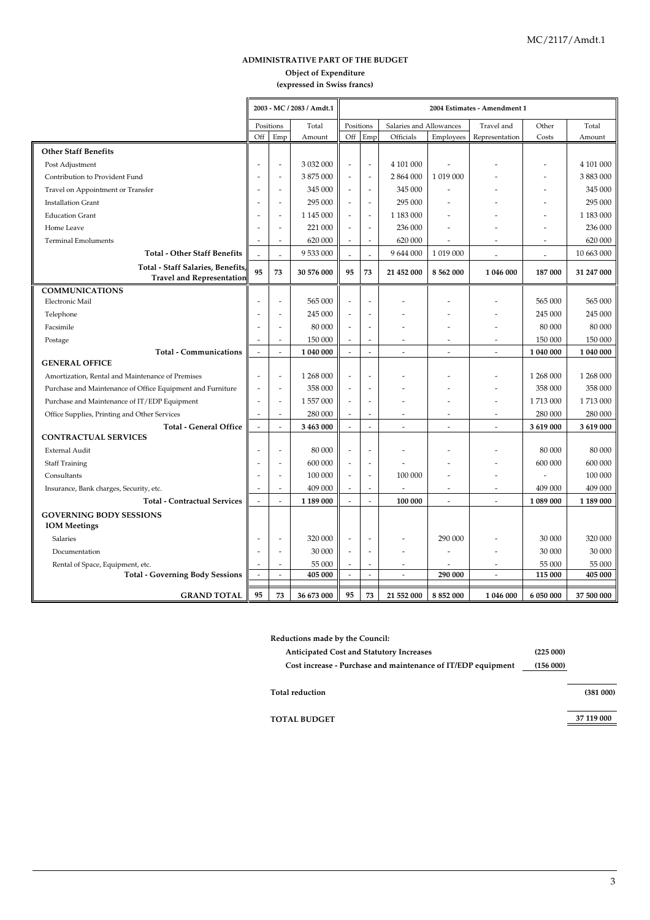### **(expressed in Swiss francs) ADMINISTRATIVE PART OF THE BUDGET Object of Expenditure**

|                                                                                |                          |                          | 2003 - MC / 2083 / Amdt.1<br>2004 Estimates - Amendment 1 |                          |                          |                         |                          |                          |           |            |
|--------------------------------------------------------------------------------|--------------------------|--------------------------|-----------------------------------------------------------|--------------------------|--------------------------|-------------------------|--------------------------|--------------------------|-----------|------------|
|                                                                                | Positions                |                          | Total                                                     | Positions                |                          | Salaries and Allowances |                          | Travel and               | Other     | Total      |
|                                                                                | Off                      | Emp                      | Amount                                                    | Off                      | Emp                      | Officials               | Employees                | Representation           | Costs     | Amount     |
| <b>Other Staff Benefits</b>                                                    |                          |                          |                                                           |                          |                          |                         |                          |                          |           |            |
| Post Adjustment                                                                |                          | $\overline{a}$           | 3 032 000                                                 | ÷,                       | $\overline{a}$           | 4 101 000               |                          |                          |           | 4 101 000  |
| Contribution to Provident Fund                                                 | $\overline{\phantom{a}}$ | $\overline{a}$           | 3875000                                                   | $\overline{a}$           | L,                       | 2 864 000               | 1 0 19 0 00              |                          |           | 3 883 000  |
| Travel on Appointment or Transfer                                              | $\overline{\phantom{a}}$ | $\overline{a}$           | 345 000                                                   | $\overline{a}$           | $\overline{\phantom{a}}$ | 345 000                 |                          |                          |           | 345 000    |
| <b>Installation Grant</b>                                                      |                          | $\overline{a}$           | 295 000                                                   | $\overline{\phantom{a}}$ | $\overline{a}$           | 295 000                 |                          |                          |           | 295 000    |
| <b>Education Grant</b>                                                         |                          | $\overline{a}$           | 1 145 000                                                 | $\overline{\phantom{a}}$ | $\overline{\phantom{a}}$ | 1 183 000               |                          |                          |           | 1 183 000  |
| Home Leave                                                                     |                          | $\overline{a}$           | 221 000                                                   | $\overline{a}$           | $\overline{a}$           | 236 000                 |                          |                          |           | 236 000    |
| <b>Terminal Emoluments</b>                                                     |                          | $\overline{a}$           | 620 000                                                   | $\overline{\phantom{a}}$ | $\overline{\phantom{a}}$ | 620 000                 | $\overline{a}$           |                          | ż.        | 620 000    |
| <b>Total - Other Staff Benefits</b>                                            |                          | L,                       | 9 533 000                                                 |                          | L,                       | 9 644 000               | 1 019 000                | L,                       |           | 10 663 000 |
| Total - Staff Salaries, Benefits                                               | 95                       | 73                       | 30 576 000                                                | 95                       | 73                       | 21 452 000              | 8 562 000                | 1 046 000                | 187 000   | 31 247 000 |
| <b>Travel and Representation</b>                                               |                          |                          |                                                           |                          |                          |                         |                          |                          |           |            |
| <b>COMMUNICATIONS</b>                                                          |                          |                          |                                                           |                          |                          |                         |                          |                          |           |            |
| Electronic Mail                                                                |                          | $\overline{\phantom{a}}$ | 565 000                                                   | $\overline{a}$           |                          |                         |                          |                          | 565 000   | 565 000    |
| Telephone                                                                      |                          | $\overline{a}$           | 245 000                                                   | $\overline{\phantom{a}}$ | ä,                       |                         |                          |                          | 245 000   | 245 000    |
| Facsimile                                                                      |                          | $\overline{a}$           | 80 000                                                    | $\sim$                   | Ĭ.                       |                         |                          | $\overline{a}$           | 80 000    | 80 000     |
| Postage                                                                        |                          | L.                       | 150 000                                                   | $\overline{a}$           | J.                       |                         | ÷.                       | ÷.                       | 150 000   | 150 000    |
| <b>Total - Communications</b>                                                  | $\overline{a}$           | $\overline{a}$           | 1 040 000                                                 | $\overline{a}$           | L,                       | L.                      | ÷.                       | ÷.                       | 1 040 000 | 1 040 000  |
| <b>GENERAL OFFICE</b>                                                          |                          |                          |                                                           |                          |                          |                         |                          |                          |           |            |
| Amortization, Rental and Maintenance of Premises                               | ÷,                       | $\overline{a}$           | 1 268 000                                                 | $\overline{\phantom{a}}$ |                          |                         |                          |                          | 1 268 000 | 1 268 000  |
| Purchase and Maintenance of Office Equipment and Furniture                     |                          | $\overline{\phantom{a}}$ | 358 000                                                   | $\overline{a}$           |                          |                         |                          |                          | 358 000   | 358 000    |
| Purchase and Maintenance of IT/EDP Equipment                                   | $\overline{\phantom{a}}$ | $\overline{\phantom{a}}$ | 1 557 000                                                 | $\overline{a}$           |                          |                         |                          | ٠                        | 1713000   | 1713000    |
| Office Supplies, Printing and Other Services                                   |                          | $\overline{a}$           | 280 000                                                   | $\overline{\phantom{a}}$ |                          |                         |                          |                          | 280 000   | 280 000    |
| <b>Total - General Office</b><br><b>CONTRACTUAL SERVICES</b>                   | $\sim$                   | $\overline{a}$           | 3 463 000                                                 | $\overline{a}$           | L,                       |                         | $\overline{a}$           | ÷.                       | 3 619 000 | 3 619 000  |
|                                                                                | $\overline{\phantom{a}}$ | $\overline{\phantom{a}}$ | 80 000                                                    | $\overline{\phantom{a}}$ | L,                       |                         |                          |                          | 80 000    | 80 000     |
| External Audit                                                                 |                          | ÷,                       | 600 000                                                   | $\overline{\phantom{a}}$ | Ĭ.                       |                         |                          |                          | 600 000   | 600 000    |
| <b>Staff Training</b><br>Consultants                                           |                          | L,                       | 100 000                                                   | $\overline{a}$           | ä,                       | 100 000                 |                          |                          |           | 100 000    |
|                                                                                |                          | $\overline{\phantom{a}}$ | 409 000                                                   | $\overline{a}$           | ٠                        |                         | $\overline{\phantom{a}}$ | $\overline{\phantom{a}}$ | 409 000   | 409 000    |
| Insurance, Bank charges, Security, etc.<br><b>Total - Contractual Services</b> |                          |                          | 1 189 000                                                 |                          | $\overline{a}$           | 100 000                 |                          |                          | 1 089 000 | 1 189 000  |
|                                                                                |                          |                          |                                                           |                          |                          |                         |                          |                          |           |            |
| <b>GOVERNING BODY SESSIONS</b><br><b>IOM</b> Meetings                          |                          |                          |                                                           |                          |                          |                         |                          |                          |           |            |
| Salaries                                                                       | ٠.                       | $\overline{\phantom{a}}$ | 320 000                                                   | $\sim$                   |                          |                         | 290 000                  |                          | 30 000    | 320 000    |
| Documentation                                                                  |                          | L,                       | 30 000                                                    | $\overline{\phantom{a}}$ | ÷,                       |                         |                          |                          | 30 000    | 30 000     |
|                                                                                |                          | ÷                        | 55 000                                                    | $\overline{a}$           | ÷                        |                         |                          | ÷                        | 55 000    | 55 000     |
| Rental of Space, Equipment, etc.<br><b>Total - Governing Body Sessions</b>     |                          | $\overline{\phantom{a}}$ | 405 000                                                   | $\sim$                   | $\overline{a}$           |                         | 290 000                  | $\overline{a}$           | 115 000   | 405 000    |
|                                                                                | $\overline{\phantom{a}}$ |                          |                                                           |                          |                          |                         |                          |                          |           |            |
| <b>GRAND TOTAL</b>                                                             | 95                       | 73                       | 36 673 000                                                | 95                       | 73                       | 21 552 000              | 8 8 5 2 0 0 0            | 1 046 000                | 6 050 000 | 37 500 000 |

| <b>Anticipated Cost and Statutory Increases</b>              | (225000) |
|--------------------------------------------------------------|----------|
| Cost increase - Purchase and maintenance of IT/EDP equipment | (156000) |

**TOTAL BUDGET** 

**37 119 000**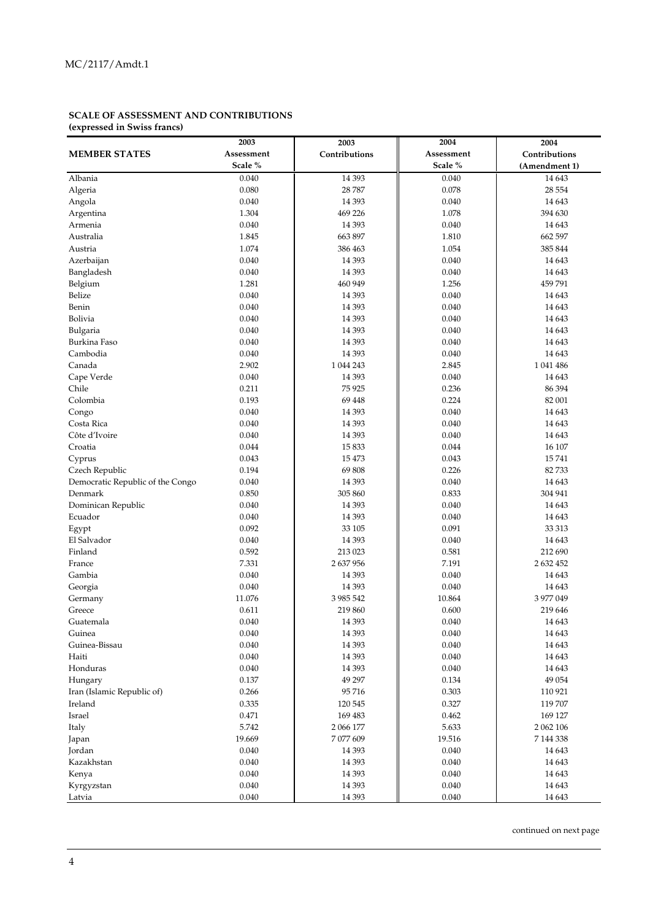#### **SCALE OF ASSESSMENT AND CONTRIBUTIONS (expressed in Swiss francs)**

|                                  | 2003       | 2003          | 2004       | 2004          |
|----------------------------------|------------|---------------|------------|---------------|
| <b>MEMBER STATES</b>             | Assessment | Contributions | Assessment | Contributions |
|                                  | Scale %    |               | Scale %    | (Amendment 1) |
| Albania                          | 0.040      | 14 3 93       | 0.040      | 14 6 43       |
| Algeria                          | 0.080      | 28 7 8 7      | 0.078      | 28 5 54       |
| Angola                           | 0.040      | 14 3 9 3      | 0.040      | 14 643        |
| Argentina                        | 1.304      | 469 226       | 1.078      | 394 630       |
| Armenia                          | 0.040      | 14 3 93       | 0.040      | 14 643        |
| Australia                        | 1.845      | 663 897       | 1.810      | 662 597       |
|                                  | 1.074      |               |            | 385 844       |
| Austria                          |            | 386 463       | 1.054      |               |
| Azerbaijan                       | 0.040      | 14 3 93       | 0.040      | 14 6 43       |
| Bangladesh                       | 0.040      | 14 3 93       | 0.040      | 14 643        |
| Belgium                          | 1.281      | 460 949       | 1.256      | 459791        |
| Belize                           | 0.040      | 14 3 93       | 0.040      | 14 643        |
| Benin                            | 0.040      | 14 3 93       | 0.040      | 14 643        |
| Bolivia                          | 0.040      | 14 3 93       | 0.040      | 14 643        |
| Bulgaria                         | 0.040      | 14 3 93       | 0.040      | 14 6 43       |
| Burkina Faso                     | 0.040      | 14 3 93       | 0.040      | 14 6 43       |
| Cambodia                         | 0.040      | 14 3 93       | 0.040      | 14 6 43       |
| Canada                           | 2.902      | 1 044 243     | 2.845      | 1 041 486     |
| Cape Verde                       | 0.040      | 14 3 9 3      | 0.040      | 14 643        |
| Chile                            | 0.211      | 75 9 25       | 0.236      | 86 394        |
| Colombia                         | 0.193      | 69 4 48       | 0.224      | 82 001        |
| Congo                            | 0.040      | 14 3 93       | 0.040      | 14 643        |
| Costa Rica                       | 0.040      | 14 3 93       | 0.040      | 14 643        |
| Côte d'Ivoire                    | 0.040      | 14 3 93       | 0.040      | 14 6 43       |
| Croatia                          | 0.044      | 15833         | 0.044      | 16 107        |
| Cyprus                           | 0.043      | 15 473        | 0.043      | 15741         |
| Czech Republic                   | 0.194      | 69808         | 0.226      | 82733         |
| Democratic Republic of the Congo | 0.040      | 14 3 9 3      | 0.040      | 14 643        |
| Denmark                          | 0.850      | 305 860       | 0.833      | 304 941       |
| Dominican Republic               | 0.040      | 14 3 93       | 0.040      | 14 643        |
| Ecuador                          | 0.040      | 14 3 93       | 0.040      | 14 6 43       |
| Egypt                            | 0.092      | 33 105        | 0.091      | 33 313        |
| El Salvador                      | 0.040      | 14 3 93       | 0.040      | 14 643        |
| Finland                          | 0.592      | 213 023       | 0.581      | 212 690       |
| France                           | 7.331      | 2 637 956     | 7.191      | 2 632 452     |
| Gambia                           | 0.040      | 14 3 93       | 0.040      | 14 6 43       |
| Georgia                          | 0.040      | 14 3 93       | 0.040      | 14 643        |
| Germany                          | 11.076     | 3 985 542     | 10.864     | 3 977 049     |
| Greece                           | 0.611      | 219 860       | 0.600      | 219 646       |
| Guatemala                        | 0.040      | 14 3 93       | 0.040      | 14 6 43       |
| Guinea                           | 0.040      | 14 3 93       | 0.040      | 14 643        |
| Guinea-Bissau                    | 0.040      | 14 3 93       | 0.040      | 14 6 43       |
| Haiti                            | 0.040      | 14 3 93       | 0.040      | 14 643        |
| Honduras                         | 0.040      | 14 3 93       | 0.040      | 14 643        |
| Hungary                          | 0.137      | 49 297        | 0.134      | 49 054        |
| Iran (Islamic Republic of)       | 0.266      | 95716         | 0.303      | 110 921       |
| Ireland                          | 0.335      | 120 545       | 0.327      | 119 707       |
| Israel                           | 0.471      | 169 483       | 0.462      | 169 127       |
| Italy                            | 5.742      | 2 066 177     | 5.633      | 2 062 106     |
|                                  | 19.669     | 7 077 609     | 19.516     | 7 144 338     |
| Japan                            |            |               |            |               |
| Jordan                           | 0.040      | 14 3 93       | 0.040      | 14 643        |
| Kazakhstan                       | 0.040      | 14 3 93       | 0.040      | 14 643        |
| Kenya                            | 0.040      | 14 3 93       | 0.040      | 14 643        |
| Kyrgyzstan                       | 0.040      | 14 3 93       | 0.040      | 14 643        |
| Latvia                           | 0.040      | 14 3 9 3      | 0.040      | 14 6 43       |

continued on next page